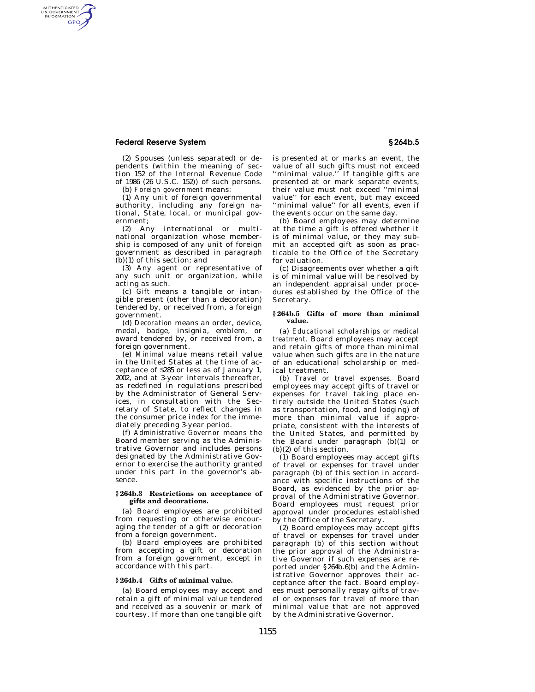# **Federal Reserve System § 264b.5**

AUTHENTICATED<br>U.S. GOVERNMENT<br>INFORMATION GPO

> (2) Spouses (unless separated) or dependents (within the meaning of section 152 of the Internal Revenue Code of 1986 (26 U.S.C. 152)) of such persons.

(b) *Foreign government* means:

(1) Any unit of foreign governmental authority, including any foreign national, State, local, or municipal government;

(2) Any international or multinational organization whose membership is composed of any unit of foreign government as described in paragraph (b)(1) of this section; and

(3) Any agent or representative of any such unit or organization, while acting as such.

(c) *Gift* means a tangible or intangible present (other than a decoration) tendered by, or received from, a foreign government.

(d) *Decoration* means an order, device, medal, badge, insignia, emblem, or award tendered by, or received from, a foreign government.

(e) *Minimal value* means retail value in the United States at the time of acceptance of \$285 or less as of January 1, 2002, and at 3-year intervals thereafter, as redefined in regulations prescribed by the Administrator of General Services, in consultation with the Secretary of State, to reflect changes in the consumer price index for the immediately preceding 3-year period.

(f) *Administrative Governor* means the Board member serving as the Administrative Governor and includes persons designated by the Administrative Governor to exercise the authority granted under this part in the governor's absence.

## **§ 264b.3 Restrictions on acceptance of gifts and decorations.**

(a) Board employees are prohibited from requesting or otherwise encouraging the tender of a gift or decoration from a foreign government.

(b) Board employees are prohibited from accepting a gift or decoration from a foreign government, except in accordance with this part.

### **§ 264b.4 Gifts of minimal value.**

(a) Board employees may accept and retain a gift of minimal value tendered and received as a souvenir or mark of courtesy. If more than one tangible gift is presented at or marks an event, the value of all such gifts must not exceed ''minimal value.'' If tangible gifts are presented at or mark separate events, their value must not exceed ''minimal value'' for each event, but may exceed ''minimal value'' for all events, even if the events occur on the same day.

(b) Board employees may determine at the time a gift is offered whether it is of minimal value, or they may submit an accepted gift as soon as practicable to the Office of the Secretary for valuation.

(c) Disagreements over whether a gift is of minimal value will be resolved by an independent appraisal under procedures established by the Office of the Secretary.

### **§ 264b.5 Gifts of more than minimal value.**

(a) *Educational scholarships or medical treatment.* Board employees may accept and retain gifts of more than minimal value when such gifts are in the nature of an educational scholarship or medical treatment.

(b) *Travel or travel expenses.* Board employees may accept gifts of travel or expenses for travel taking place entirely outside the United States (such as transportation, food, and lodging) of more than minimal value if appropriate, consistent with the interests of the United States, and permitted by the Board under paragraph  $(b)(1)$  or (b)(2) of this section.

(1) Board employees may accept gifts of travel or expenses for travel under paragraph (b) of this section in accordance with specific instructions of the Board, as evidenced by the prior approval of the Administrative Governor. Board employees must request prior approval under procedures established by the Office of the Secretary.

(2) Board employees may accept gifts of travel or expenses for travel under paragraph (b) of this section without the prior approval of the Administrative Governor if such expenses are reported under §264b.6(b) and the Administrative Governor approves their acceptance after the fact. Board employees must personally repay gifts of travel or expenses for travel of more than minimal value that are not approved by the Administrative Governor.